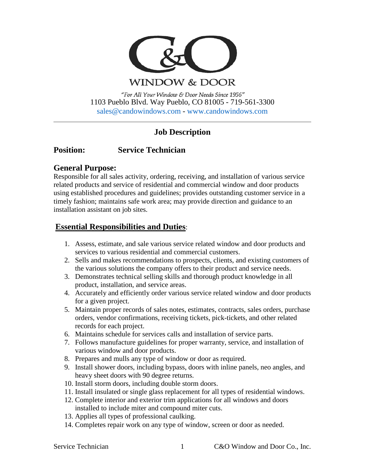

**WINDOW & DOOR** 

"For All Your Window & Door Needs Since 1956" 1103 Pueblo Blvd. Way Pueblo, CO 81005 - 719-561-3300 [sales@candowindows.com](mailto:sales@candowindows.com) - [www.candowindows.com](http://www.candowindows.com/)

# **Job Description**

## **Position: Service Technician**

## **General Purpose:**

Responsible for all sales activity, ordering, receiving, and installation of various service related products and service of residential and commercial window and door products using established procedures and guidelines; provides outstanding customer service in a timely fashion; maintains safe work area; may provide direction and guidance to an installation assistant on job sites.

## **Essential Responsibilities and Duties**:

- 1. Assess, estimate, and sale various service related window and door products and services to various residential and commercial customers.
- 2. Sells and makes recommendations to prospects, clients, and existing customers of the various solutions the company offers to their product and service needs.
- 3. Demonstrates technical selling skills and thorough product knowledge in all product, installation, and service areas.
- 4. Accurately and efficiently order various service related window and door products for a given project.
- 5. Maintain proper records of sales notes, estimates, contracts, sales orders, purchase orders, vendor confirmations, receiving tickets, pick-tickets, and other related records for each project.
- 6. Maintains schedule for services calls and installation of service parts.
- 7. Follows manufacture guidelines for proper warranty, service, and installation of various window and door products.
- 8. Prepares and mulls any type of window or door as required.
- 9. Install shower doors, including bypass, doors with inline panels, neo angles, and heavy sheet doors with 90 degree returns.
- 10. Install storm doors, including double storm doors.
- 11. Install insulated or single glass replacement for all types of residential windows.
- 12. Complete interior and exterior trim applications for all windows and doors installed to include miter and compound miter cuts.
- 13. Applies all types of professional caulking.
- 14. Completes repair work on any type of window, screen or door as needed.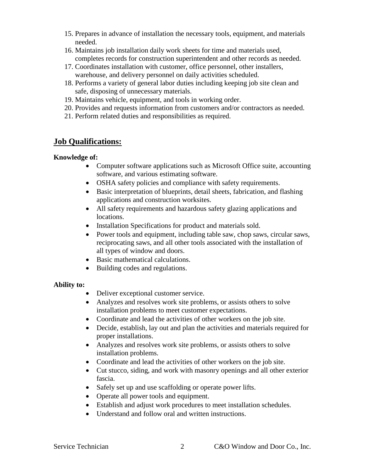- 15. Prepares in advance of installation the necessary tools, equipment, and materials needed.
- 16. Maintains job installation daily work sheets for time and materials used, completes records for construction superintendent and other records as needed.
- 17. Coordinates installation with customer, office personnel, other installers, warehouse, and delivery personnel on daily activities scheduled.
- 18. Performs a variety of general labor duties including keeping job site clean and safe, disposing of unnecessary materials.
- 19. Maintains vehicle, equipment, and tools in working order.
- 20. Provides and requests information from customers and/or contractors as needed.
- 21. Perform related duties and responsibilities as required.

## **Job Qualifications:**

### **Knowledge of:**

- Computer software applications such as Microsoft Office suite, accounting software, and various estimating software.
- OSHA safety policies and compliance with safety requirements.
- Basic interpretation of blueprints, detail sheets, fabrication, and flashing applications and construction worksites.
- All safety requirements and hazardous safety glazing applications and locations.
- Installation Specifications for product and materials sold.
- Power tools and equipment, including table saw, chop saws, circular saws, reciprocating saws, and all other tools associated with the installation of all types of window and doors.
- Basic mathematical calculations.
- Building codes and regulations.

### **Ability to:**

- Deliver exceptional customer service.
- Analyzes and resolves work site problems, or assists others to solve installation problems to meet customer expectations.
- Coordinate and lead the activities of other workers on the job site.
- Decide, establish, lay out and plan the activities and materials required for proper installations.
- Analyzes and resolves work site problems, or assists others to solve installation problems.
- Coordinate and lead the activities of other workers on the job site.
- Cut stucco, siding, and work with masonry openings and all other exterior fascia.
- Safely set up and use scaffolding or operate power lifts.
- Operate all power tools and equipment.
- Establish and adjust work procedures to meet installation schedules.
- Understand and follow oral and written instructions.